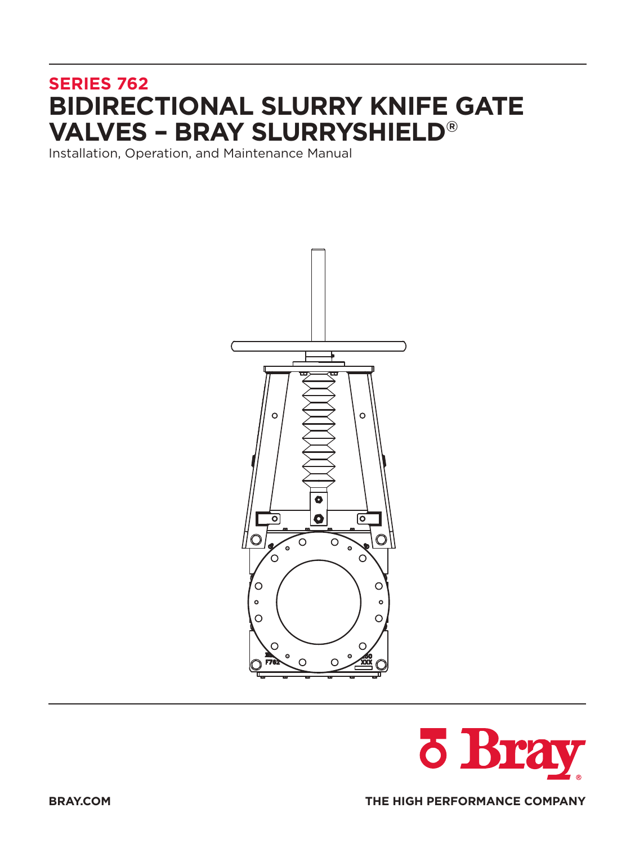# **SERIES 762 BIDIRECTIONAL SLURRY KNIFE GATE VALVES – BRAY SLURRYSHIELD®**

Installation, Operation, and Maintenance Manual



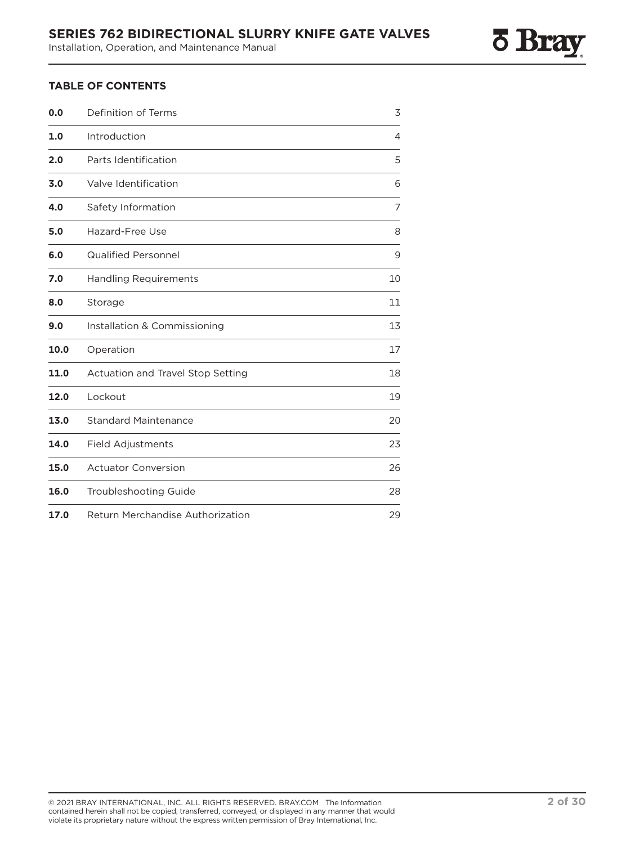### **TABLE OF CONTENTS**

| 0.0  | Definition of Terms                      | 3  |
|------|------------------------------------------|----|
| 1.0  | Introduction                             | 4  |
| 2.0  | Parts Identification                     | 5  |
| 3.0  | Valve Identification                     | 6  |
| 4.0  | Safety Information                       | 7  |
| 5.0  | Hazard-Free Use                          | 8  |
| 6.0  | <b>Qualified Personnel</b>               | 9  |
| 7.0  | <b>Handling Requirements</b>             | 10 |
| 8.0  | Storage                                  | 11 |
| 9.0  | Installation & Commissioning             | 13 |
| 10.0 | Operation                                | 17 |
| 11.0 | <b>Actuation and Travel Stop Setting</b> | 18 |
| 12.0 | Lockout                                  | 19 |
| 13.0 | <b>Standard Maintenance</b>              | 20 |
| 14.0 | <b>Field Adjustments</b>                 | 23 |
| 15.0 | <b>Actuator Conversion</b>               | 26 |
| 16.0 | <b>Troubleshooting Guide</b>             | 28 |
| 17.0 | <b>Return Merchandise Authorization</b>  | 29 |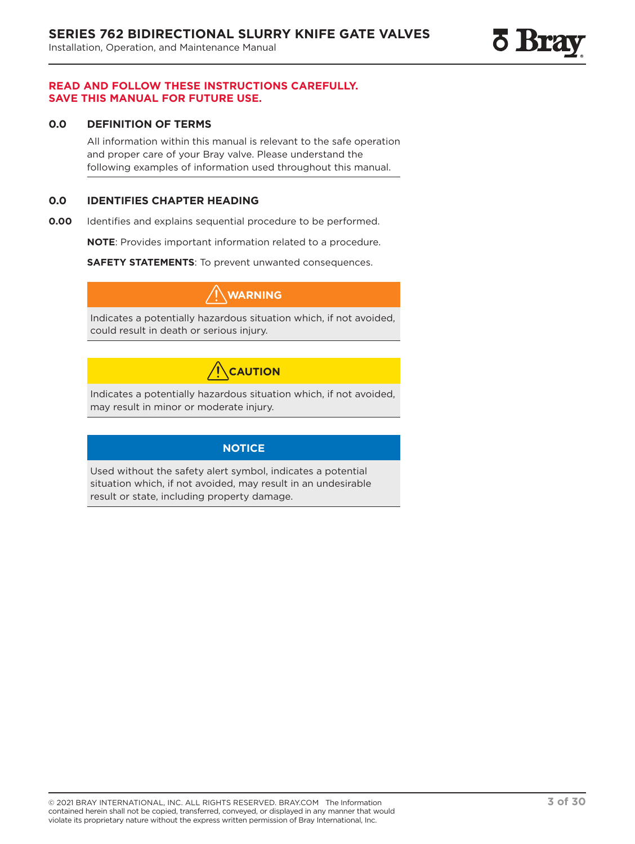

### **READ AND FOLLOW THESE INSTRUCTIONS CAREFULLY. SAVE THIS MANUAL FOR FUTURE USE.**

### **0.0 DEFINITION OF TERMS**

All information within this manual is relevant to the safe operation and proper care of your Bray valve. Please understand the following examples of information used throughout this manual.

### **0.0 IDENTIFIES CHAPTER HEADING**

**0.00** Identifies and explains sequential procedure to be performed.

**NOTE**: Provides important information related to a procedure.

**SAFETY STATEMENTS**: To prevent unwanted consequences.

**WARNING**

Indicates a potentially hazardous situation which, if not avoided, could result in death or serious injury.

## **CAUTION**

Indicates a potentially hazardous situation which, if not avoided, may result in minor or moderate injury.

### **NOTICE**

Used without the safety alert symbol, indicates a potential situation which, if not avoided, may result in an undesirable result or state, including property damage.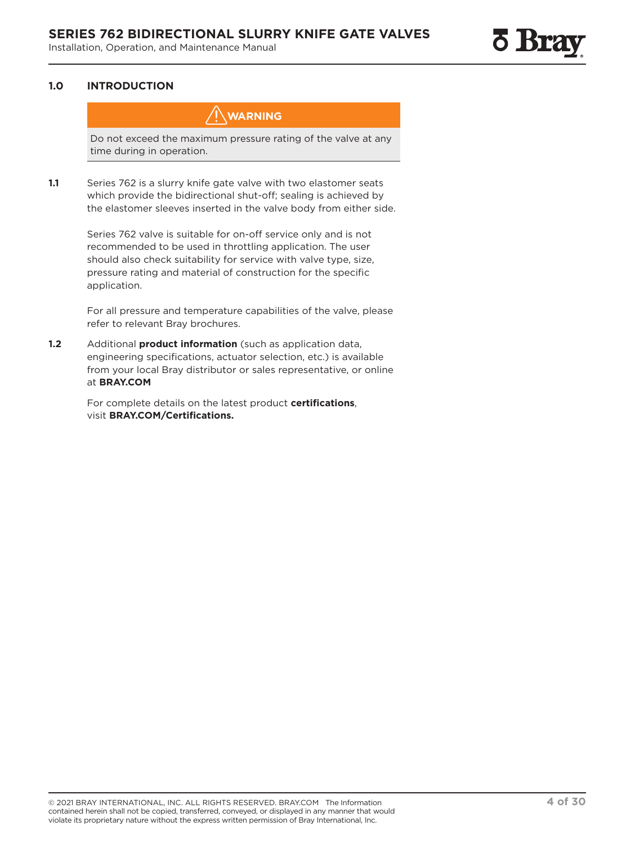### **1.0 INTRODUCTION**

**WARNING**

Do not exceed the maximum pressure rating of the valve at any time during in operation.

**1.1** Series 762 is a slurry knife gate valve with two elastomer seats which provide the bidirectional shut-off; sealing is achieved by the elastomer sleeves inserted in the valve body from either side.

> Series 762 valve is suitable for on-off service only and is not recommended to be used in throttling application. The user should also check suitability for service with valve type, size, pressure rating and material of construction for the specific application.

For all pressure and temperature capabilities of the valve, please refer to relevant Bray brochures.

**1.2** Additional **product information** (such as application data, engineering specifications, actuator selection, etc.) is available from your local Bray distributor or sales representative, or online at **BRAY.COM**

> For complete details on the latest product **certifications**, visit **BRAY.COM/Certifications.**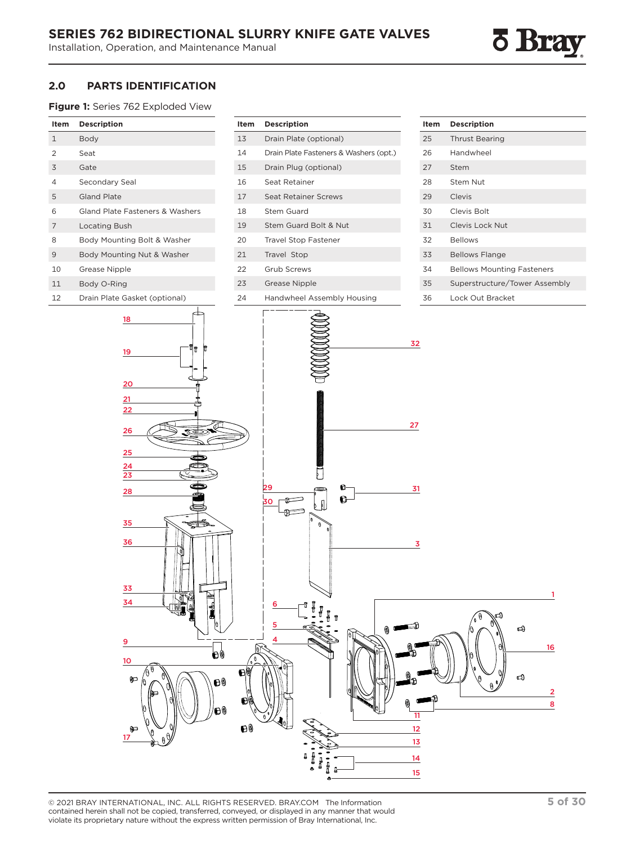

### **2.0 PARTS IDENTIFICATION**

**Figure 1:** Series 762 Exploded View

| Item           | <b>Description</b>                                                                                                                                                                   | Item                 | <b>Description</b>                      | Item                                                                                              | Description                                                     |
|----------------|--------------------------------------------------------------------------------------------------------------------------------------------------------------------------------------|----------------------|-----------------------------------------|---------------------------------------------------------------------------------------------------|-----------------------------------------------------------------|
| $\mathbf{1}$   | Body                                                                                                                                                                                 | $13$                 | Drain Plate (optional)                  | 25                                                                                                | <b>Thrust Bearing</b>                                           |
| $\overline{2}$ | Seat                                                                                                                                                                                 | 14                   | Drain Plate Fasteners & Washers (opt.)  | 26                                                                                                | Handwheel                                                       |
| 3              | Gate                                                                                                                                                                                 | 15                   | Drain Plug (optional)                   | 27                                                                                                | Stem                                                            |
| 4              | Secondary Seal                                                                                                                                                                       | 16                   | Seat Retainer                           | 28                                                                                                | Stem Nut                                                        |
| 5              | Gland Plate                                                                                                                                                                          | 17                   | Seat Retainer Screws                    | 29                                                                                                | Clevis                                                          |
| 6              | Gland Plate Fasteners & Washers                                                                                                                                                      | 18                   | Stem Guard                              | 30                                                                                                | Clevis Bolt                                                     |
| 7              | Locating Bush                                                                                                                                                                        | 19                   | Stem Guard Bolt & Nut                   | 31                                                                                                | Clevis Lock Nut                                                 |
| 8              | Body Mounting Bolt & Washer                                                                                                                                                          | 20                   | <b>Travel Stop Fastener</b>             | 32                                                                                                | <b>Bellows</b>                                                  |
| 9              | Body Mounting Nut & Washer                                                                                                                                                           | 21                   | Travel Stop                             | 33                                                                                                | <b>Bellows Flange</b>                                           |
| 10             | Grease Nipple                                                                                                                                                                        | 22                   | Grub Screws                             | 34                                                                                                | <b>Bellows Mounting Fasteners</b>                               |
| 11             | Body O-Ring                                                                                                                                                                          | 23                   | <b>Grease Nipple</b>                    | 35                                                                                                | Superstructure/Tower Assembly                                   |
| 12             | Drain Plate Gasket (optional)                                                                                                                                                        | 24                   | Handwheel Assembly Housing              | 36                                                                                                | Lock Out Bracket                                                |
|                | 18<br>٩r<br>19<br>20<br>21<br>22<br>$\overline{26}$<br>25<br>24<br>$\overline{23}$<br>28<br><≸<br>35<br>36<br>$\frac{33}{2}$<br>主<br>34<br>9<br>ð9<br>10<br>¢<br>00<br>00<br>þ<br>17 | $\Theta$<br>ÐW<br>00 | 29<br>G<br>C,<br>30<br>0<br>6<br>5<br>4 | 32<br>27<br>31<br>$\overline{\mathbf{3}}$<br>11<br>12<br>$\overline{13}$<br>$\overline{14}$<br>15 | 1<br>ದ0<br>$\bigoplus$<br>16<br><b>ර</b><br>$\overline{2}$<br>8 |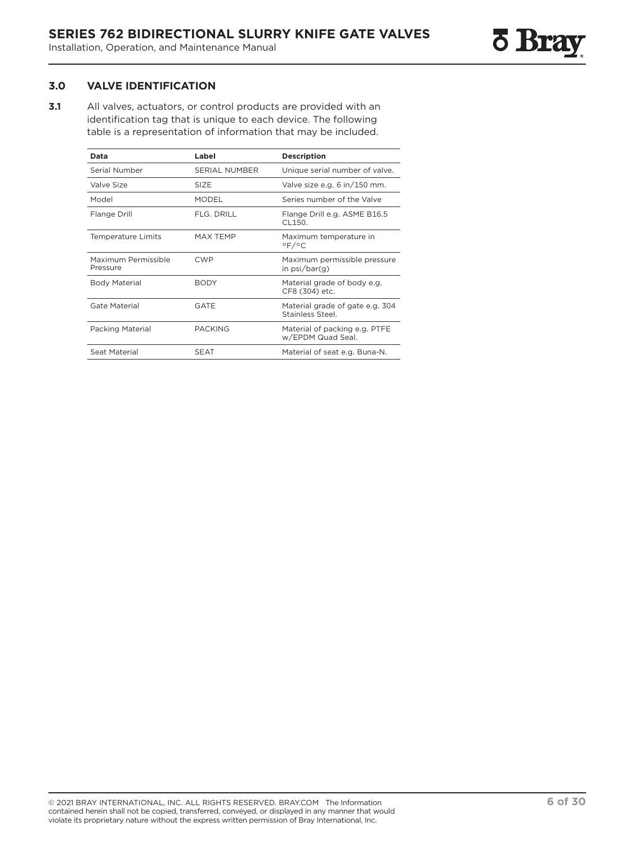### **3.0 VALVE IDENTIFICATION**

**3.1** All valves, actuators, or control products are provided with an identification tag that is unique to each device. The following table is a representation of information that may be included.

| Data                            | Label                | <b>Description</b>                                   |
|---------------------------------|----------------------|------------------------------------------------------|
| Serial Number                   | <b>SERIAL NUMBER</b> | Unique serial number of valve.                       |
| Valve Size                      | SIZE                 | Valve size e.g. 6 in/150 mm.                         |
| Model                           | <b>MODEL</b>         | Series number of the Valve                           |
| Flange Drill                    | FLG. DRILL           | Flange Drill e.g. ASME B16.5<br>CI 150.              |
| <b>Temperature Limits</b>       | MAX TEMP             | Maximum temperature in<br>$^{\circ}$ F/ $^{\circ}$ C |
| Maximum Permissible<br>Pressure | <b>CWP</b>           | Maximum permissible pressure<br>in psi/bar(g)        |
| <b>Body Material</b>            | <b>BODY</b>          | Material grade of body e.g.<br>CF8 (304) etc.        |
| Gate Material                   | GATE                 | Material grade of gate e.g. 304<br>Stainless Steel.  |
| <b>Packing Material</b>         | <b>PACKING</b>       | Material of packing e.g. PTFE<br>w/EPDM Quad Seal.   |
| Seat Material                   | <b>SEAT</b>          | Material of seat e.g. Buna-N.                        |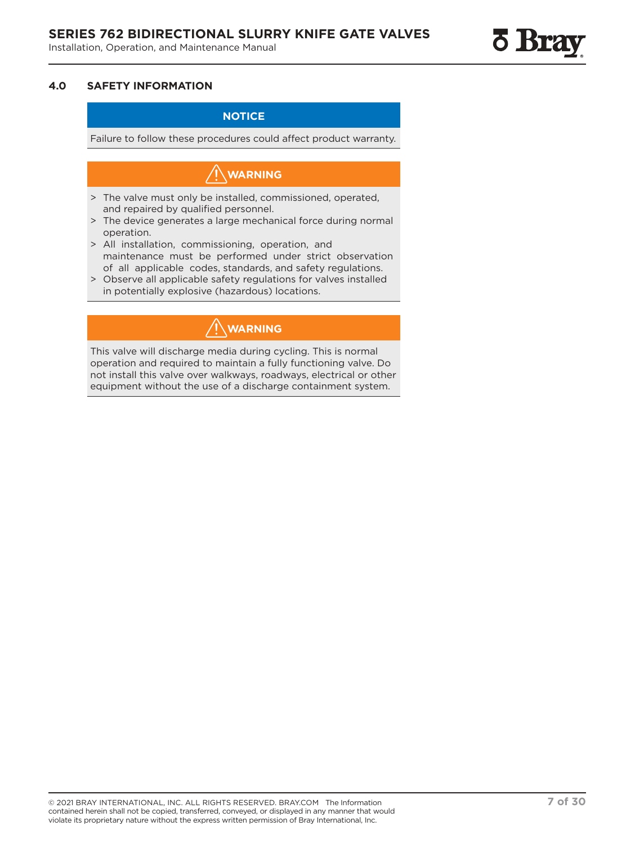### **NOTICE**

Failure to follow these procedures could affect product warranty.

## **WARNING**

- > The valve must only be installed, commissioned, operated, and repaired by qualified personnel.
- > The device generates a large mechanical force during normal operation.
- > All installation, commissioning, operation, and maintenance must be performed under strict observation of all applicable codes, standards, and safety regulations.
- > Observe all applicable safety regulations for valves installed in potentially explosive (hazardous) locations.

## **WARNING**

This valve will discharge media during cycling. This is normal operation and required to maintain a fully functioning valve. Do not install this valve over walkways, roadways, electrical or other equipment without the use of a discharge containment system.

<u>o Brs</u>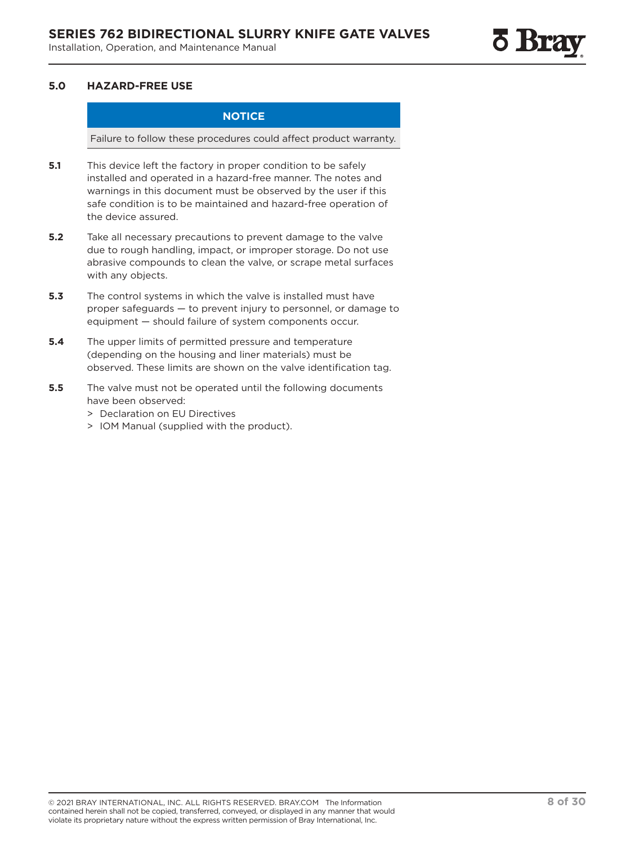### **5.0 HAZARD-FREE USE**

### **NOTICE**

Failure to follow these procedures could affect product warranty.

- **5.1** This device left the factory in proper condition to be safely installed and operated in a hazard-free manner. The notes and warnings in this document must be observed by the user if this safe condition is to be maintained and hazard-free operation of the device assured.
- **5.2** Take all necessary precautions to prevent damage to the valve due to rough handling, impact, or improper storage. Do not use abrasive compounds to clean the valve, or scrape metal surfaces with any objects.
- **5.3** The control systems in which the valve is installed must have proper safeguards — to prevent injury to personnel, or damage to equipment — should failure of system components occur.
- **5.4** The upper limits of permitted pressure and temperature (depending on the housing and liner materials) must be observed. These limits are shown on the valve identification tag.
- **5.5** The valve must not be operated until the following documents have been observed:
	- > Declaration on EU Directives
	- > IOM Manual (supplied with the product).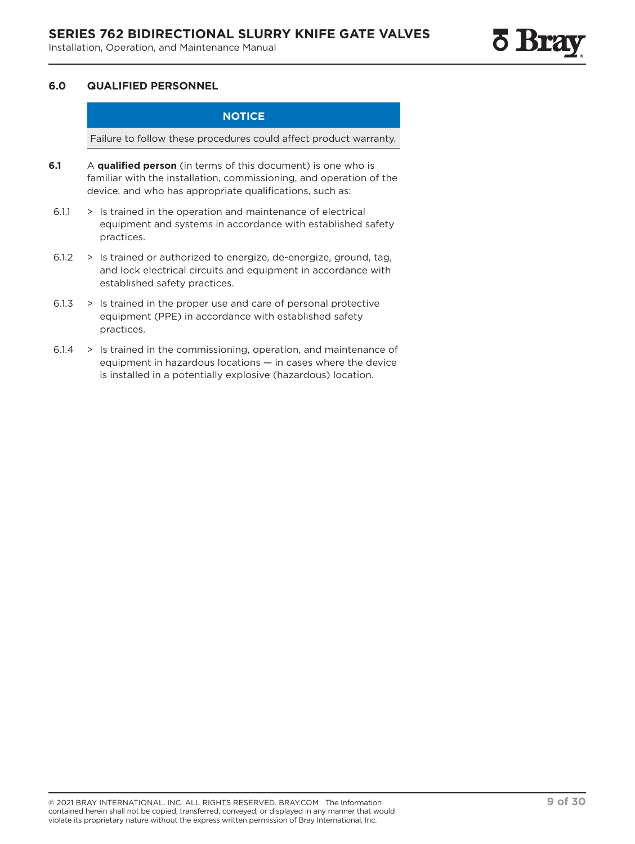### **6.0 QUALIFIED PERSONNEL**

### **NOTICE**

Failure to follow these procedures could affect product warranty.

- **6.1** A **qualified person** (in terms of this document) is one who is familiar with the installation, commissioning, and operation of the device, and who has appropriate qualifications, such as:
- 6.1.1 > Is trained in the operation and maintenance of electrical equipment and systems in accordance with established safety practices.
- 6.1.2 > Is trained or authorized to energize, de-energize, ground, tag, and lock electrical circuits and equipment in accordance with established safety practices.
- 6.1.3 > Is trained in the proper use and care of personal protective equipment (PPE) in accordance with established safety practices.
- 6.1.4 > Is trained in the commissioning, operation, and maintenance of equipment in hazardous locations — in cases where the device is installed in a potentially explosive (hazardous) location.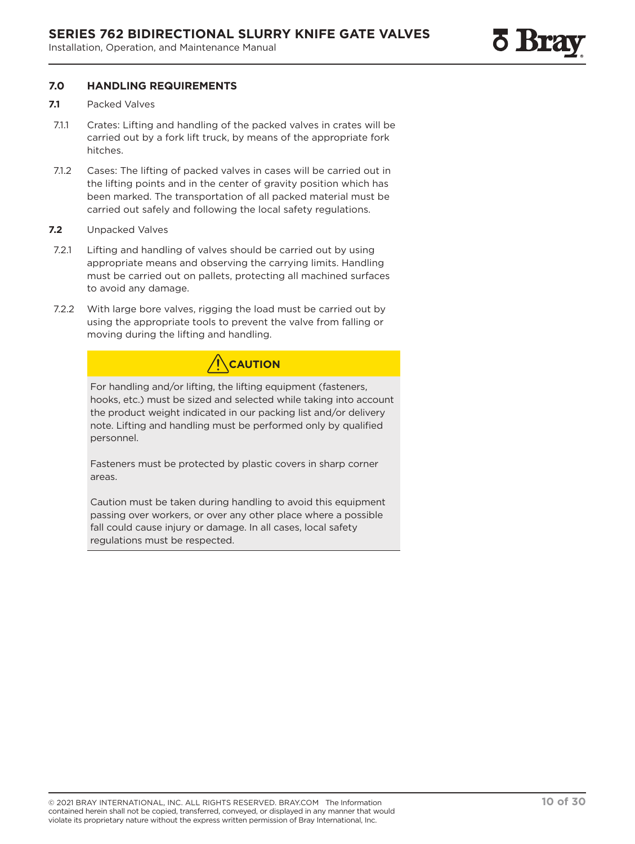### **7.0 HANDLING REQUIREMENTS**

- **7.1** Packed Valves
- 7.1.1 Crates: Lifting and handling of the packed valves in crates will be carried out by a fork lift truck, by means of the appropriate fork hitches.
- 7.1.2 Cases: The lifting of packed valves in cases will be carried out in the lifting points and in the center of gravity position which has been marked. The transportation of all packed material must be carried out safely and following the local safety regulations.
- **7.2** Unpacked Valves
- 7.2.1 Lifting and handling of valves should be carried out by using appropriate means and observing the carrying limits. Handling must be carried out on pallets, protecting all machined surfaces to avoid any damage.
- 7.2.2 With large bore valves, rigging the load must be carried out by using the appropriate tools to prevent the valve from falling or moving during the lifting and handling.

## **CAUTION**

For handling and/or lifting, the lifting equipment (fasteners, hooks, etc.) must be sized and selected while taking into account the product weight indicated in our packing list and/or delivery note. Lifting and handling must be performed only by qualified personnel.

Fasteners must be protected by plastic covers in sharp corner areas.

Caution must be taken during handling to avoid this equipment passing over workers, or over any other place where a possible fall could cause injury or damage. In all cases, local safety regulations must be respected.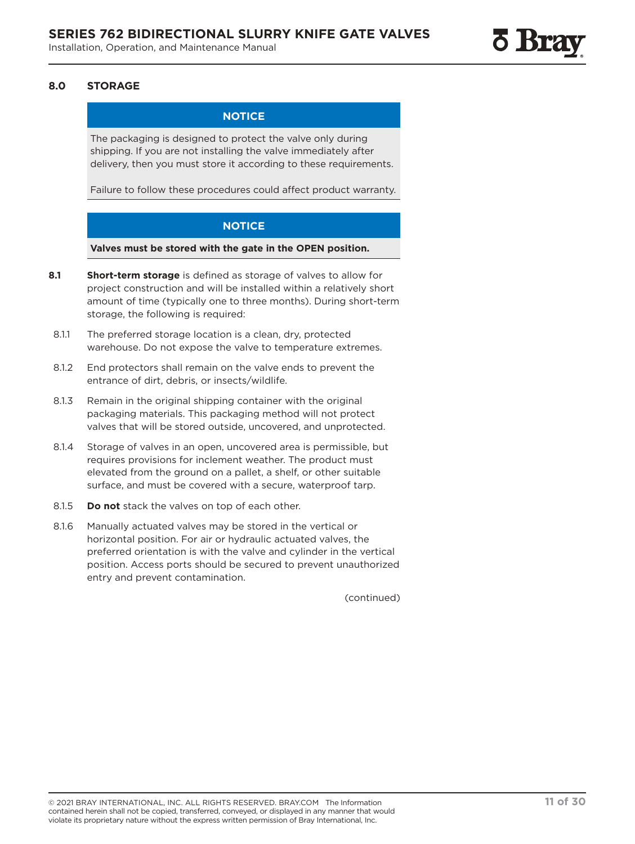### **8.0 STORAGE**

### **NOTICE**

The packaging is designed to protect the valve only during shipping. If you are not installing the valve immediately after delivery, then you must store it according to these requirements.

Failure to follow these procedures could affect product warranty.

### **NOTICE**

**Valves must be stored with the gate in the OPEN position.**

- **8.1 Short-term storage** is defined as storage of valves to allow for project construction and will be installed within a relatively short amount of time (typically one to three months). During short-term storage, the following is required:
- 8.1.1 The preferred storage location is a clean, dry, protected warehouse. Do not expose the valve to temperature extremes.
- 8.1.2 End protectors shall remain on the valve ends to prevent the entrance of dirt, debris, or insects/wildlife.
- 8.1.3 Remain in the original shipping container with the original packaging materials. This packaging method will not protect valves that will be stored outside, uncovered, and unprotected.
- 8.1.4 Storage of valves in an open, uncovered area is permissible, but requires provisions for inclement weather. The product must elevated from the ground on a pallet, a shelf, or other suitable surface, and must be covered with a secure, waterproof tarp.
- 8.1.5 **Do not** stack the valves on top of each other.
- 8.1.6 Manually actuated valves may be stored in the vertical or horizontal position. For air or hydraulic actuated valves, the preferred orientation is with the valve and cylinder in the vertical position. Access ports should be secured to prevent unauthorized entry and prevent contamination.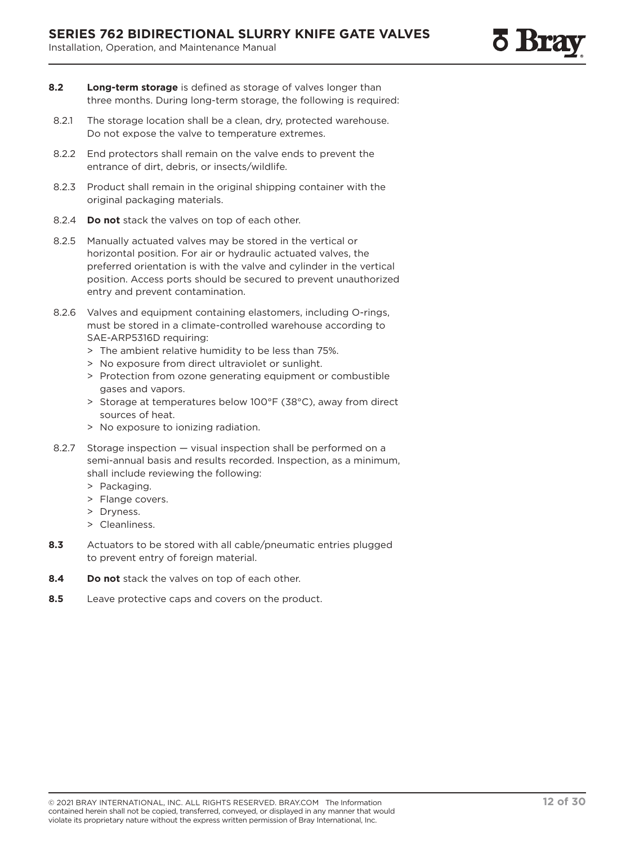- **8.2 Long-term storage** is defined as storage of valves longer than three months. During long-term storage, the following is required:
- 8.2.1 The storage location shall be a clean, dry, protected warehouse. Do not expose the valve to temperature extremes.
- 8.2.2 End protectors shall remain on the valve ends to prevent the entrance of dirt, debris, or insects/wildlife.
- 8.2.3 Product shall remain in the original shipping container with the original packaging materials.
- 8.2.4 **Do not** stack the valves on top of each other.
- 8.2.5 Manually actuated valves may be stored in the vertical or horizontal position. For air or hydraulic actuated valves, the preferred orientation is with the valve and cylinder in the vertical position. Access ports should be secured to prevent unauthorized entry and prevent contamination.
- 8.2.6 Valves and equipment containing elastomers, including O-rings, must be stored in a climate-controlled warehouse according to SAE-ARP5316D requiring:
	- > The ambient relative humidity to be less than 75%.
	- > No exposure from direct ultraviolet or sunlight.
	- > Protection from ozone generating equipment or combustible gases and vapors.
	- > Storage at temperatures below 100°F (38°C), away from direct sources of heat.
	- > No exposure to ionizing radiation.
- 8.2.7 Storage inspection visual inspection shall be performed on a semi-annual basis and results recorded. Inspection, as a minimum, shall include reviewing the following:
	- > Packaging.
	- > Flange covers.
	- > Dryness.
	- > Cleanliness.
- **8.3** Actuators to be stored with all cable/pneumatic entries plugged to prevent entry of foreign material.
- **8.4 Do not** stack the valves on top of each other.
- **8.5** Leave protective caps and covers on the product.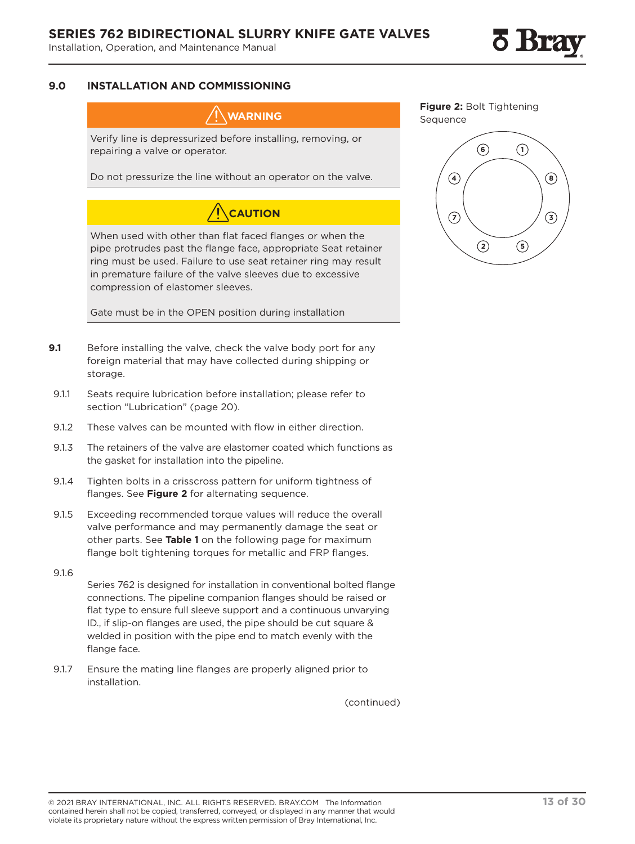

### **9.0 INSTALLATION AND COMMISSIONING**

**WARNING**

Verify line is depressurized before installing, removing, or repairing a valve or operator.

Do not pressurize the line without an operator on the valve.

## **CAUTION**

When used with other than flat faced flanges or when the pipe protrudes past the flange face, appropriate Seat retainer ring must be used. Failure to use seat retainer ring may result in premature failure of the valve sleeves due to excessive compression of elastomer sleeves.

Gate must be in the OPEN position during installation

- **9.1** Before installing the valve, check the valve body port for any foreign material that may have collected during shipping or storage.
- 9.1.1 Seats require lubrication before installation; please refer to section "Lubrication" (page 20).
- 9.1.2 These valves can be mounted with flow in either direction.
- 9.1.3 The retainers of the valve are elastomer coated which functions as the gasket for installation into the pipeline.
- 9.1.4 Tighten bolts in a crisscross pattern for uniform tightness of flanges. See **Figure 2** for alternating sequence.
- 9.1.5 Exceeding recommended torque values will reduce the overall valve performance and may permanently damage the seat or other parts. See **Table 1** on the following page for maximum flange bolt tightening torques for metallic and FRP flanges.
- 9.1.6

Series 762 is designed for installation in conventional bolted flange connections. The pipeline companion flanges should be raised or flat type to ensure full sleeve support and a continuous unvarying ID., if slip-on flanges are used, the pipe should be cut square & welded in position with the pipe end to match evenly with the flange face.

9.1.7 Ensure the mating line flanges are properly aligned prior to installation.

**Figure 2:** Bolt Tightening Sequence

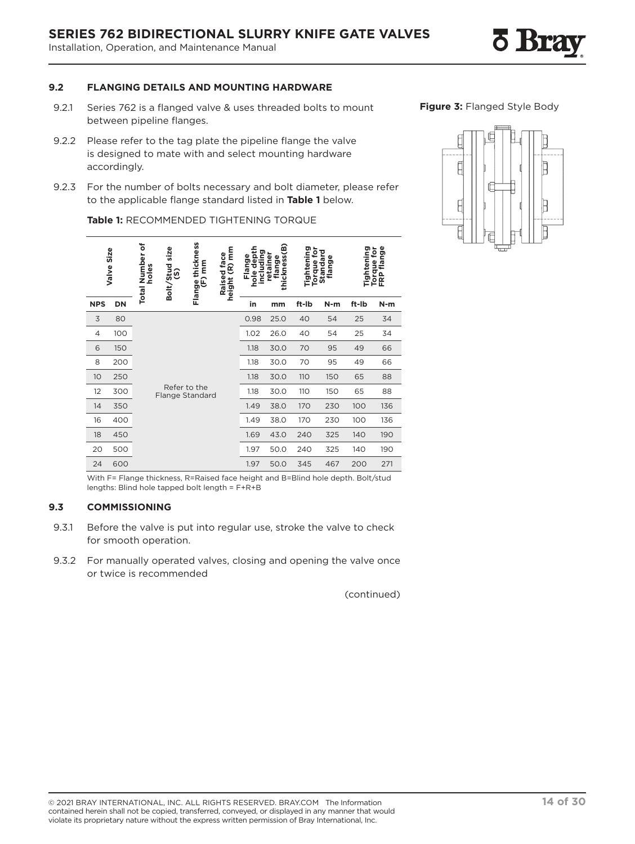### **SERIES 762 BIDIRECTIONAL SLURRY KNIFE GATE VALVES**

Installation, Operation, and Maintenance Manual

### **9.2 FLANGING DETAILS AND MOUNTING HARDWARE**

- 9.2.1 Series 762 is a flanged valve & uses threaded bolts to mount between pipeline flanges.
- 9.2.2 Please refer to the tag plate the pipeline flange the valve is designed to mate with and select mounting hardware accordingly.
- 9.2.3 For the number of bolts necessary and bolt diameter, please refer to the applicable flange standard listed in **Table 1** below.

|                | Size<br>Valve | ៵<br><b>Total Number</b><br>holes | size<br>Bolt/Stud<br>(S)        | Flange thickness<br>(F)mm | $(R)$ mm<br>Raised face<br>height | depth<br>including<br>Flange<br>hole | œ<br>thickness<br>retaine<br>flange | Tightening<br>ē<br>Torque | Standard<br>ω<br>flang | ත     | ige<br>De<br>Tightening<br>Torque for<br>FRP flange |
|----------------|---------------|-----------------------------------|---------------------------------|---------------------------|-----------------------------------|--------------------------------------|-------------------------------------|---------------------------|------------------------|-------|-----------------------------------------------------|
| <b>NPS</b>     | DN            |                                   |                                 |                           |                                   | in                                   | mm                                  | ft-Ib                     | $N-m$                  | ft-Ib | $N-m$                                               |
| 3              | 80            |                                   |                                 |                           |                                   | 0.98                                 | 25.0                                | 40                        | 54                     | 25    | 34                                                  |
| $\overline{4}$ | 100           |                                   |                                 |                           |                                   | 1.02                                 | 26.0                                | 40                        | 54                     | 25    | 34                                                  |
| 6              | 150           |                                   |                                 |                           |                                   | 1.18                                 | 30.0                                | 70                        | 95                     | 49    | 66                                                  |
| 8              | 200           |                                   |                                 |                           |                                   | 1.18                                 | 30.0                                | 70                        | 95                     | 49    | 66                                                  |
| 10             | 250           |                                   |                                 |                           |                                   | 1.18                                 | 30.0                                | 110                       | 150                    | 65    | 88                                                  |
| 12             | 300           |                                   | Refer to the<br>Flange Standard |                           |                                   | 1.18                                 | 30.0                                | 110                       | 150                    | 65    | 88                                                  |
| 14             | 350           |                                   |                                 |                           |                                   | 1.49                                 | 38.0                                | 170                       | 230                    | 100   | 136                                                 |
| 16             | 400           |                                   |                                 |                           |                                   | 1.49                                 | 38.0                                | 170                       | 230                    | 100   | 136                                                 |
| 18             | 450           |                                   |                                 |                           |                                   | 1.69                                 | 43.0                                | 240                       | 325                    | 140   | 190                                                 |
| 20             | 500           |                                   |                                 |                           |                                   | 1.97                                 | 50.0                                | 240                       | 325                    | 140   | 190                                                 |
| 24             | 600           |                                   |                                 |                           |                                   | 1.97                                 | 50.0                                | 345                       | 467                    | 200   | 271                                                 |

**Table 1:** RECOMMENDED TIGHTENING TORQUE

**Figure 3:** Flanged Style Body



With F= Flange thickness, R=Raised face height and B=Blind hole depth. Bolt/stud lengths: Blind hole tapped bolt length = F+R+B

### **9.3 COMMISSIONING**

- 9.3.1 Before the valve is put into regular use, stroke the valve to check for smooth operation.
- 9.3.2 For manually operated valves, closing and opening the valve once or twice is recommended

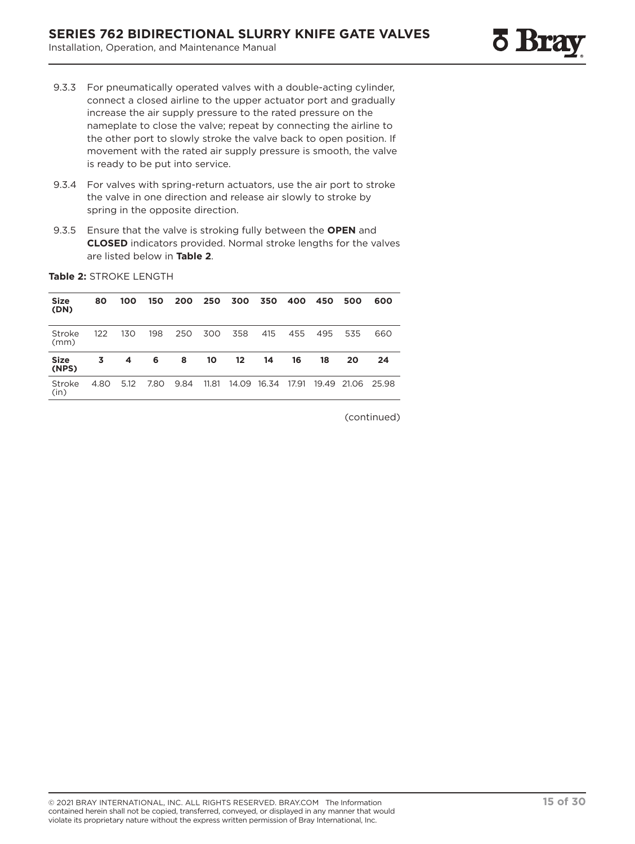- 9.3.3 For pneumatically operated valves with a double-acting cylinder, connect a closed airline to the upper actuator port and gradually increase the air supply pressure to the rated pressure on the nameplate to close the valve; repeat by connecting the airline to the other port to slowly stroke the valve back to open position. If movement with the rated air supply pressure is smooth, the valve is ready to be put into service.
- 9.3.4 For valves with spring-return actuators, use the air port to stroke the valve in one direction and release air slowly to stroke by spring in the opposite direction.
- 9.3.5 Ensure that the valve is stroking fully between the **OPEN** and **CLOSED** indicators provided. Normal stroke lengths for the valves are listed below in **Table 2**.

| <b>Size</b><br>(DN)  | 80   | 100  | 150  | 200  | 250   | 300   | 350   | 400   | 450   | 500   | 600   |
|----------------------|------|------|------|------|-------|-------|-------|-------|-------|-------|-------|
| Stroke<br>(mm)       | 122  | 130  | 198  | 250  | 300   | 358   | 415   | 455   | 495   | 535   | 660   |
| <b>Size</b><br>(NPS) | 3    | 4    | 6    | 8    | 10    | 12    | 14    | 16    | 18    | 20    | 24    |
| Stroke<br>(in)       | 4.80 | 5.12 | 7.80 | 9.84 | 11.81 | 14.09 | 16.34 | 17.91 | 19.49 | 21.06 | 25.98 |

**Table 2:** STROKE LENGTH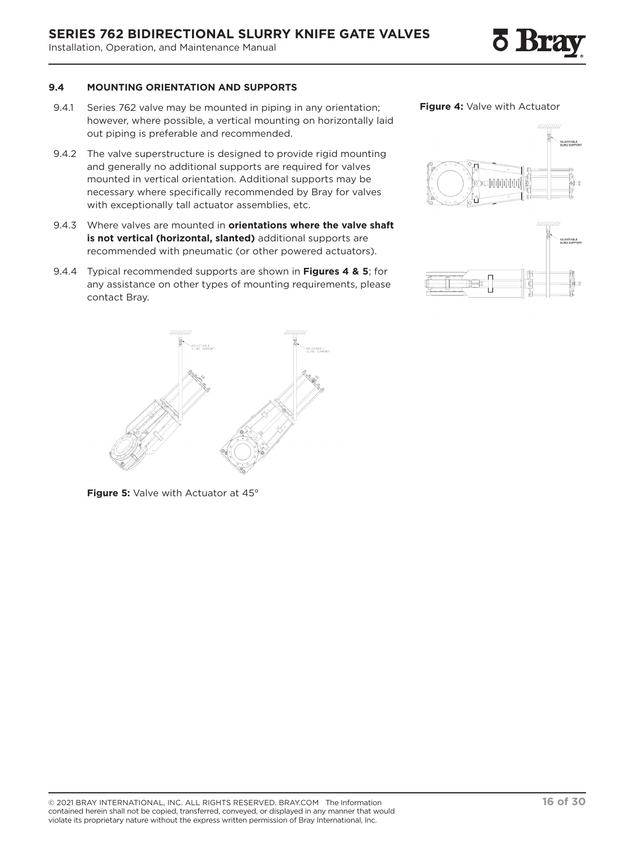### **9.4 MOUNTING ORIENTATION AND SUPPORTS**

- 9.4.1 Series 762 valve may be mounted in piping in any orientation; however, where possible, a vertical mounting on horizontally laid out piping is preferable and recommended.
- 9.4.2 The valve superstructure is designed to provide rigid mounting and generally no additional supports are required for valves mounted in vertical orientation. Additional supports may be necessary where specifically recommended by Bray for valves with exceptionally tall actuator assemblies, etc.
- 9.4.3 Where valves are mounted in **orientations where the valve shaft is not vertical (horizontal, slanted)** additional supports are recommended with pneumatic (or other powered actuators).
- 9.4.4 Typical recommended supports are shown in **Figures 4 & 5**; for any assistance on other types of mounting requirements, please contact Bray.

**Figure 5:** Valve with Actuator at 45°



**Figure 4:** Valve with Actuator



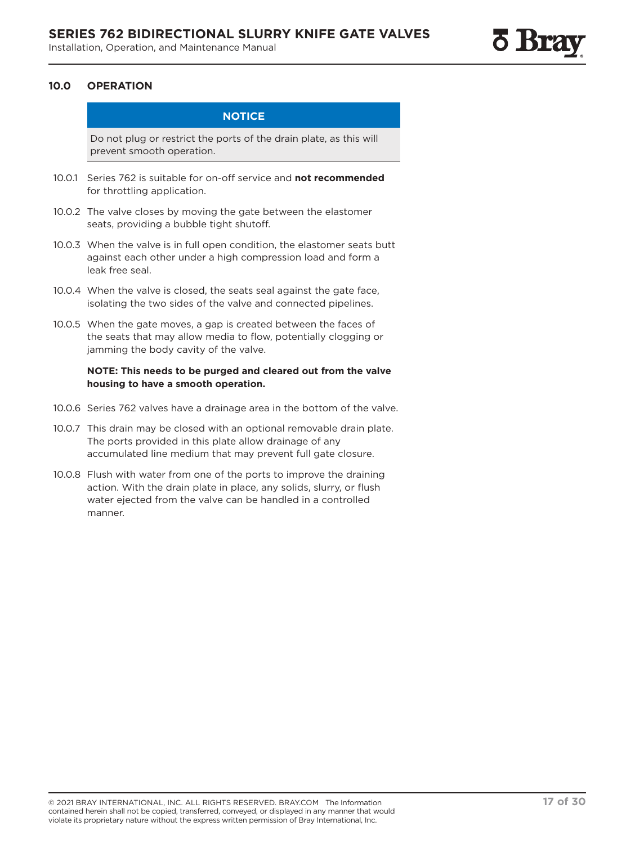### **10.0 OPERATION**

### **NOTICE**

Do not plug or restrict the ports of the drain plate, as this will prevent smooth operation.

- 10.0.1 Series 762 is suitable for on-off service and **not recommended** for throttling application.
- 10.0.2 The valve closes by moving the gate between the elastomer seats, providing a bubble tight shutoff.
- 10.0.3 When the valve is in full open condition, the elastomer seats butt against each other under a high compression load and form a leak free seal.
- 10.0.4 When the valve is closed, the seats seal against the gate face, isolating the two sides of the valve and connected pipelines.
- 10.0.5 When the gate moves, a gap is created between the faces of the seats that may allow media to flow, potentially clogging or jamming the body cavity of the valve.

### **NOTE: This needs to be purged and cleared out from the valve housing to have a smooth operation.**

- 10.0.6 Series 762 valves have a drainage area in the bottom of the valve.
- 10.0.7 This drain may be closed with an optional removable drain plate. The ports provided in this plate allow drainage of any accumulated line medium that may prevent full gate closure.
- 10.0.8 Flush with water from one of the ports to improve the draining action. With the drain plate in place, any solids, slurry, or flush water ejected from the valve can be handled in a controlled manner.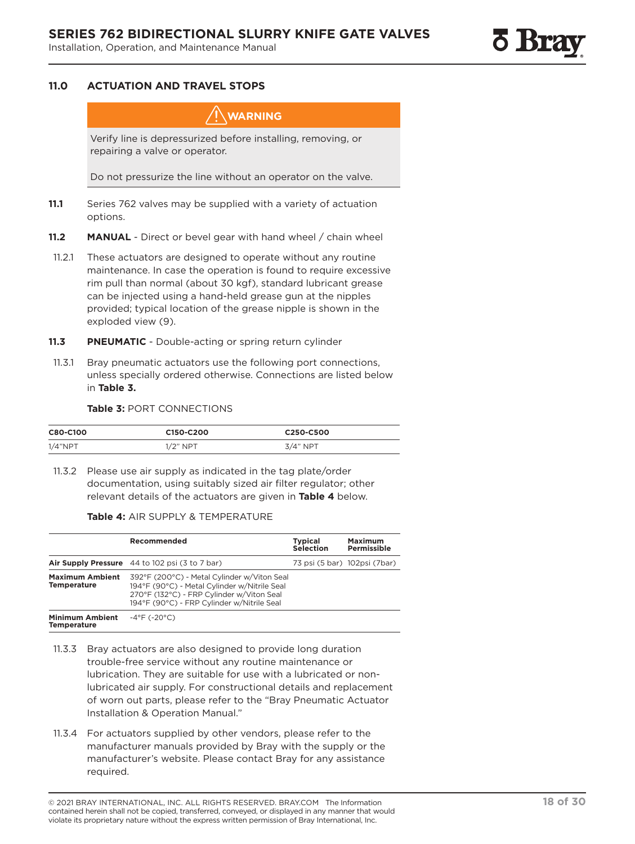### **11.0 ACTUATION AND TRAVEL STOPS**

### **WARNING**

Verify line is depressurized before installing, removing, or repairing a valve or operator.

Do not pressurize the line without an operator on the valve.

- **11.1** Series 762 valves may be supplied with a variety of actuation options.
- **11.2 MANUAL** Direct or bevel gear with hand wheel / chain wheel
- 11.2.1 These actuators are designed to operate without any routine maintenance. In case the operation is found to require excessive rim pull than normal (about 30 kgf), standard lubricant grease can be injected using a hand-held grease gun at the nipples provided; typical location of the grease nipple is shown in the exploded view (9).
- **11.3 PNEUMATIC** Double-acting or spring return cylinder
- 11.3.1 Bray pneumatic actuators use the following port connections, unless specially ordered otherwise. Connections are listed below in **Table 3.**

#### **Table 3:** PORT CONNECTIONS

| C80-C100 | C <sub>150</sub> -C <sub>200</sub> | C250-C500  |
|----------|------------------------------------|------------|
| 1/4"NPT  | $1/2$ " NPT                        | $3/4"$ NPT |

11.3.2 Please use air supply as indicated in the tag plate/order documentation, using suitably sized air filter regulator; other relevant details of the actuators are given in **Table 4** below.

### **Table 4:** AIR SUPPLY & TEMPERATURE

|                                              | Recommended                                                                                                                                                                            | <b>Typical</b><br><b>Selection</b> | <b>Maximum</b><br>Permissible |
|----------------------------------------------|----------------------------------------------------------------------------------------------------------------------------------------------------------------------------------------|------------------------------------|-------------------------------|
|                                              | Air Supply Pressure 44 to 102 psi (3 to 7 bar)                                                                                                                                         |                                    | 73 psi (5 bar) 102psi (7bar)  |
| <b>Maximum Ambient</b><br><b>Temperature</b> | 392°F (200°C) - Metal Cylinder w/Viton Seal<br>194°F (90°C) - Metal Cylinder w/Nitrile Seal<br>270°F (132°C) - FRP Cylinder w/Viton Seal<br>194°F (90°C) - FRP Cylinder w/Nitrile Seal |                                    |                               |
| <b>Minimum Ambient</b><br><b>Temperature</b> | $-4^{\circ}$ F (-20 $^{\circ}$ C)                                                                                                                                                      |                                    |                               |

- 11.3.3 Bray actuators are also designed to provide long duration trouble-free service without any routine maintenance or lubrication. They are suitable for use with a lubricated or nonlubricated air supply. For constructional details and replacement of worn out parts, please refer to the "Bray Pneumatic Actuator Installation & Operation Manual."
- 11.3.4 For actuators supplied by other vendors, please refer to the manufacturer manuals provided by Bray with the supply or the manufacturer's website. Please contact Bray for any assistance required.

<sup>© 2021</sup> BRAY INTERNATIONAL, INC. ALL RIGHTS RESERVED. BRAY.COM The Information **18 of 30** contained herein shall not be copied, transferred, conveyed, or displayed in any manner that would violate its proprietary nature without the express written permission of Bray International, Inc.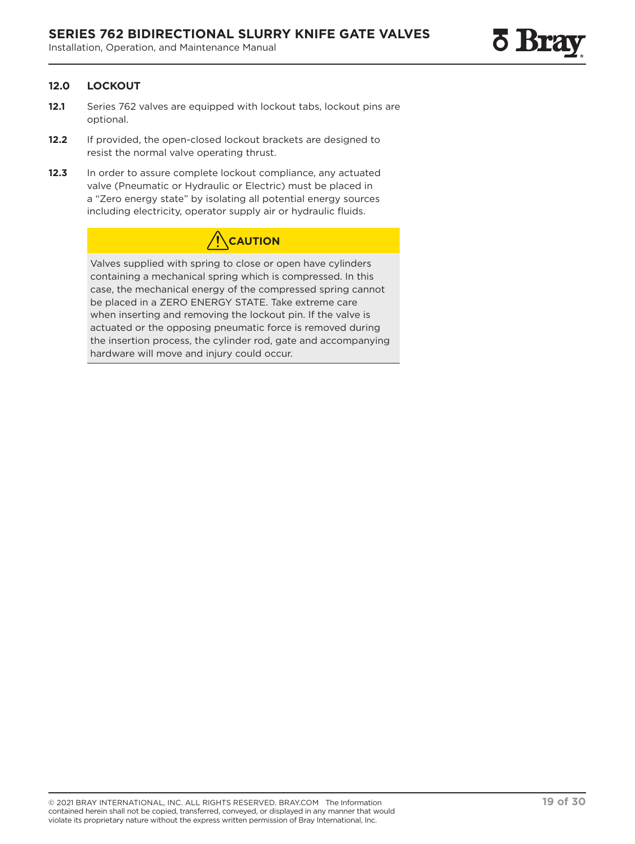### **12.0 LOCKOUT**

- **12.1** Series 762 valves are equipped with lockout tabs, lockout pins are optional.
- **12.2** If provided, the open-closed lockout brackets are designed to resist the normal valve operating thrust.
- 12.3 In order to assure complete lockout compliance, any actuated valve (Pneumatic or Hydraulic or Electric) must be placed in a "Zero energy state" by isolating all potential energy sources including electricity, operator supply air or hydraulic fluids.

## **CAUTION**

Valves supplied with spring to close or open have cylinders containing a mechanical spring which is compressed. In this case, the mechanical energy of the compressed spring cannot be placed in a ZERO ENERGY STATE. Take extreme care when inserting and removing the lockout pin. If the valve is actuated or the opposing pneumatic force is removed during the insertion process, the cylinder rod, gate and accompanying hardware will move and injury could occur.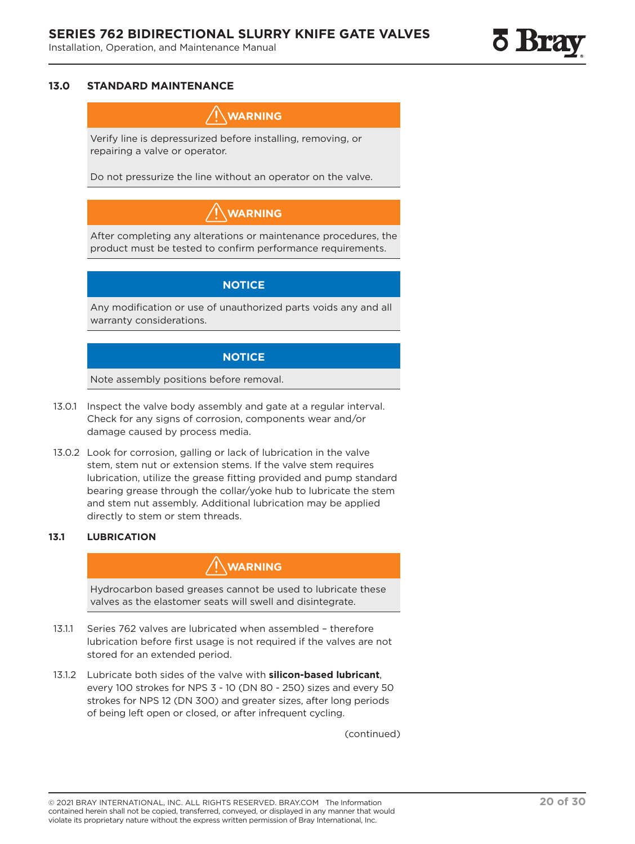### **13.0 STANDARD MAINTENANCE**

### **WARNING**

Verify line is depressurized before installing, removing, or repairing a valve or operator.

Do not pressurize the line without an operator on the valve.

## **WARNING**

After completing any alterations or maintenance procedures, the product must be tested to confirm performance requirements.

### **NOTICE**

Any modification or use of unauthorized parts voids any and all warranty considerations.

### **NOTICE**

Note assembly positions before removal.

- 13.0.1 Inspect the valve body assembly and gate at a regular interval. Check for any signs of corrosion, components wear and/or damage caused by process media.
- 13.0.2 Look for corrosion, galling or lack of lubrication in the valve stem, stem nut or extension stems. If the valve stem requires lubrication, utilize the grease fitting provided and pump standard bearing grease through the collar/yoke hub to lubricate the stem and stem nut assembly. Additional lubrication may be applied directly to stem or stem threads.

### **13.1 LUBRICATION**

### **WARNING**

Hydrocarbon based greases cannot be used to lubricate these valves as the elastomer seats will swell and disintegrate.

- 13.1.1 Series 762 valves are lubricated when assembled therefore lubrication before first usage is not required if the valves are not stored for an extended period.
- 13.1.2 Lubricate both sides of the valve with **silicon-based lubricant**, every 100 strokes for NPS 3 - 10 (DN 80 - 250) sizes and every 50 strokes for NPS 12 (DN 300) and greater sizes, after long periods of being left open or closed, or after infrequent cycling.

<sup>© 2021</sup> BRAY INTERNATIONAL, INC. ALL RIGHTS RESERVED. BRAY.COM The Information **20 of 30** contained herein shall not be copied, transferred, conveyed, or displayed in any manner that would violate its proprietary nature without the express written permission of Bray International, Inc.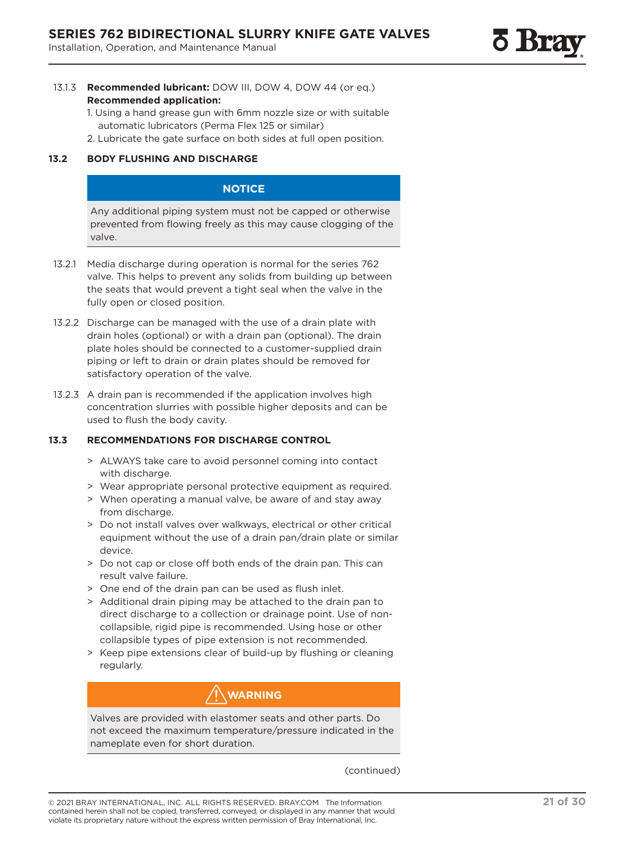- 13.1.3 **Recommended lubricant:** DOW III, DOW 4, DOW 44 (or eq.) **Recommended application:**
	- 1. Using a hand grease gun with 6mm nozzle size or with suitable automatic lubricators (Perma Flex 125 or similar)
	- 2. Lubricate the gate surface on both sides at full open position.

### **13.2 BODY FLUSHING AND DISCHARGE**

### **NOTICE**

Any additional piping system must not be capped or otherwise prevented from flowing freely as this may cause clogging of the valve.

- 13.2.1 Media discharge during operation is normal for the series 762 valve. This helps to prevent any solids from building up between the seats that would prevent a tight seal when the valve in the fully open or closed position.
- 13.2.2 Discharge can be managed with the use of a drain plate with drain holes (optional) or with a drain pan (optional). The drain plate holes should be connected to a customer-supplied drain piping or left to drain or drain plates should be removed for satisfactory operation of the valve.
- 13.2.3 A drain pan is recommended if the application involves high concentration slurries with possible higher deposits and can be used to flush the body cavity.

### **13.3 RECOMMENDATIONS FOR DISCHARGE CONTROL**

- > ALWAYS take care to avoid personnel coming into contact with discharge.
- > Wear appropriate personal protective equipment as required.
- > When operating a manual valve, be aware of and stay away from discharge.
- > Do not install valves over walkways, electrical or other critical equipment without the use of a drain pan/drain plate or similar device.
- > Do not cap or close off both ends of the drain pan. This can result valve failure.
- > One end of the drain pan can be used as flush inlet.
- > Additional drain piping may be attached to the drain pan to direct discharge to a collection or drainage point. Use of noncollapsible, rigid pipe is recommended. Using hose or other collapsible types of pipe extension is not recommended.
- > Keep pipe extensions clear of build-up by flushing or cleaning regularly.

### **WARNING**

Valves are provided with elastomer seats and other parts. Do not exceed the maximum temperature/pressure indicated in the nameplate even for short duration.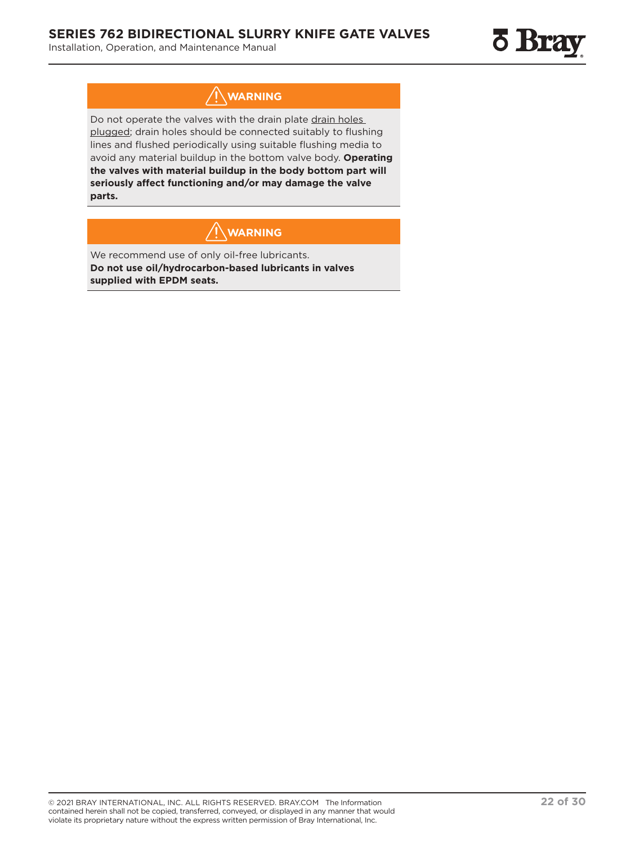## **WARNING**

Do not operate the valves with the drain plate drain holes plugged; drain holes should be connected suitably to flushing lines and flushed periodically using suitable flushing media to avoid any material buildup in the bottom valve body. **Operating the valves with material buildup in the body bottom part will seriously affect functioning and/or may damage the valve parts.**

## **WARNING**

We recommend use of only oil-free lubricants. **Do not use oil/hydrocarbon-based lubricants in valves supplied with EPDM seats.**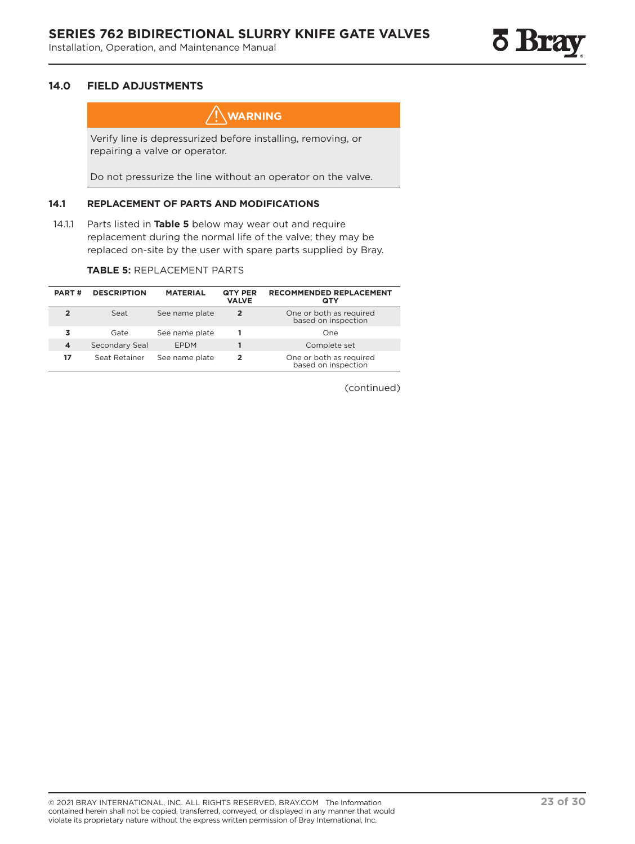

### **14.0 FIELD ADJUSTMENTS**

**WARNING**

Verify line is depressurized before installing, removing, or repairing a valve or operator.

Do not pressurize the line without an operator on the valve.

### **14.1 REPLACEMENT OF PARTS AND MODIFICATIONS**

14.1.1 Parts listed in **Table 5** below may wear out and require replacement during the normal life of the valve; they may be replaced on-site by the user with spare parts supplied by Bray.

### **TABLE 5:** REPLACEMENT PARTS

| <b>PART#</b> | <b>DESCRIPTION</b> | <b>MATERIAL</b> | QTY PER<br><b>VALVE</b> | <b>RECOMMENDED REPLACEMENT</b><br>QTY          |
|--------------|--------------------|-----------------|-------------------------|------------------------------------------------|
|              | Seat               | See name plate  | 2                       | One or both as required<br>based on inspection |
|              | Gate               | See name plate  |                         | One                                            |
| 4            | Secondary Seal     | <b>EPDM</b>     |                         | Complete set                                   |
| 17           | Seat Retainer      | See name plate  | 2                       | One or both as required<br>based on inspection |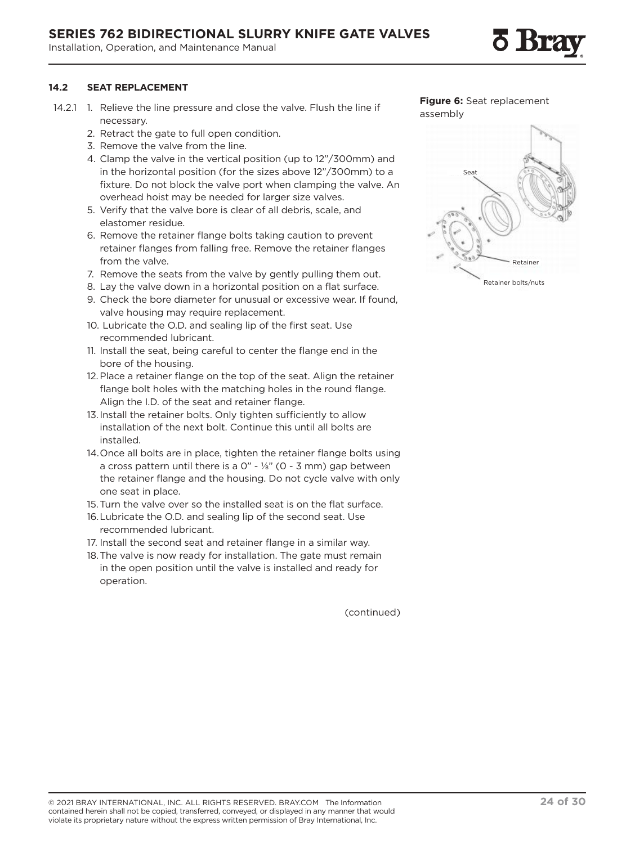### **SERIES 762 BIDIRECTIONAL SLURRY KNIFE GATE VALVES**

Installation, Operation, and Maintenance Manual

### **14.2 SEAT REPLACEMENT**

- 14.2.1 1. Relieve the line pressure and close the valve. Flush the line if necessary.
	- 2. Retract the gate to full open condition.
	- 3. Remove the valve from the line.
	- 4. Clamp the valve in the vertical position (up to 12"/300mm) and in the horizontal position (for the sizes above 12"/300mm) to a fixture. Do not block the valve port when clamping the valve. An overhead hoist may be needed for larger size valves.
	- 5. Verify that the valve bore is clear of all debris, scale, and elastomer residue.
	- 6. Remove the retainer flange bolts taking caution to prevent retainer flanges from falling free. Remove the retainer flanges from the valve.
	- 7. Remove the seats from the valve by gently pulling them out.
	- 8. Lay the valve down in a horizontal position on a flat surface.
	- 9. Check the bore diameter for unusual or excessive wear. If found, valve housing may require replacement.
	- 10. Lubricate the O.D. and sealing lip of the first seat. Use recommended lubricant.
	- 11. Install the seat, being careful to center the flange end in the bore of the housing.
	- 12.Place a retainer flange on the top of the seat. Align the retainer flange bolt holes with the matching holes in the round flange. Align the I.D. of the seat and retainer flange.
	- 13.Install the retainer bolts. Only tighten sufficiently to allow installation of the next bolt. Continue this until all bolts are installed.
	- 14.Once all bolts are in place, tighten the retainer flange bolts using a cross pattern until there is a  $0" - \frac{1}{8}"$  (0 - 3 mm) gap between the retainer flange and the housing. Do not cycle valve with only one seat in place.
	- 15.Turn the valve over so the installed seat is on the flat surface.
	- 16.Lubricate the O.D. and sealing lip of the second seat. Use recommended lubricant.
	- 17. Install the second seat and retainer flange in a similar way.
	- 18.The valve is now ready for installation. The gate must remain in the open position until the valve is installed and ready for operation.



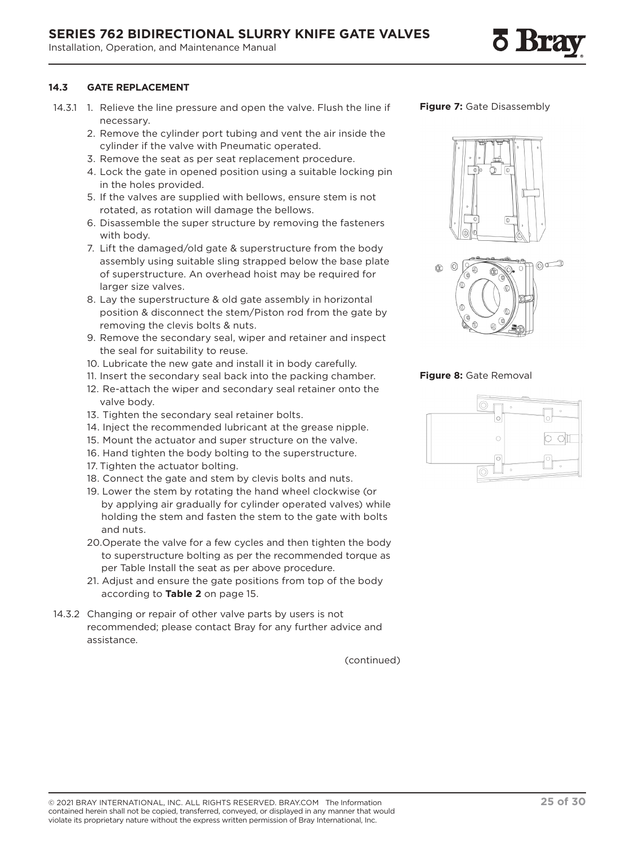### **14.3 GATE REPLACEMENT**

- 14.3.1 1. Relieve the line pressure and open the valve. Flush the line if necessary.
	- 2. Remove the cylinder port tubing and vent the air inside the cylinder if the valve with Pneumatic operated.
	- 3. Remove the seat as per seat replacement procedure.
	- 4. Lock the gate in opened position using a suitable locking pin in the holes provided.
	- 5. If the valves are supplied with bellows, ensure stem is not rotated, as rotation will damage the bellows.
	- 6. Disassemble the super structure by removing the fasteners with body.
	- 7. Lift the damaged/old gate & superstructure from the body assembly using suitable sling strapped below the base plate of superstructure. An overhead hoist may be required for larger size valves.
	- 8. Lay the superstructure & old gate assembly in horizontal position & disconnect the stem/Piston rod from the gate by removing the clevis bolts & nuts.
	- 9. Remove the secondary seal, wiper and retainer and inspect the seal for suitability to reuse.
	- 10. Lubricate the new gate and install it in body carefully.
	- 11. Insert the secondary seal back into the packing chamber.
	- 12. Re-attach the wiper and secondary seal retainer onto the valve body.
	- 13. Tighten the secondary seal retainer bolts.
	- 14. Inject the recommended lubricant at the grease nipple.
	- 15. Mount the actuator and super structure on the valve.
	- 16. Hand tighten the body bolting to the superstructure.
	- 17. Tighten the actuator bolting.
	- 18. Connect the gate and stem by clevis bolts and nuts.
	- 19. Lower the stem by rotating the hand wheel clockwise (or by applying air gradually for cylinder operated valves) while holding the stem and fasten the stem to the gate with bolts and nuts.
	- 20.Operate the valve for a few cycles and then tighten the body to superstructure bolting as per the recommended torque as per Table Install the seat as per above procedure.
	- 21. Adjust and ensure the gate positions from top of the body according to **Table 2** on page 15.
- 14.3.2 Changing or repair of other valve parts by users is not recommended; please contact Bray for any further advice and assistance.

(continued)







### **Figure 8:** Gate Removal



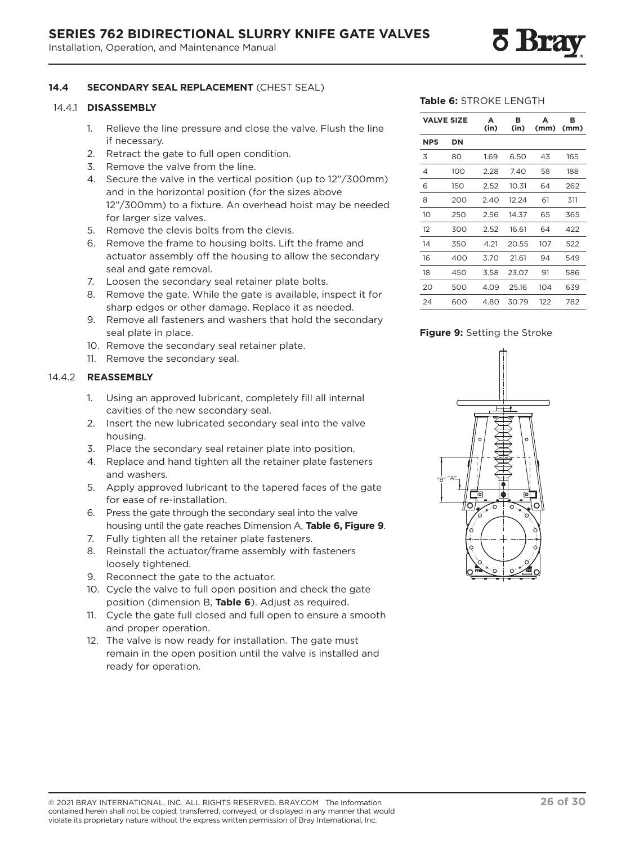### **14.4 SECONDARY SEAL REPLACEMENT** (CHEST SEAL)

#### 14.4.1 **DISASSEMBLY**

- 1. Relieve the line pressure and close the valve. Flush the line if necessary.
- 2. Retract the gate to full open condition.
- 3. Remove the valve from the line.
- 4. Secure the valve in the vertical position (up to 12"/300mm) and in the horizontal position (for the sizes above 12"/300mm) to a fixture. An overhead hoist may be needed for larger size valves.
- 5. Remove the clevis bolts from the clevis.
- 6. Remove the frame to housing bolts. Lift the frame and actuator assembly off the housing to allow the secondary seal and gate removal.
- 7. Loosen the secondary seal retainer plate bolts.
- 8. Remove the gate. While the gate is available, inspect it for sharp edges or other damage. Replace it as needed.
- 9. Remove all fasteners and washers that hold the secondary seal plate in place.
- 10. Remove the secondary seal retainer plate.
- 11. Remove the secondary seal.

#### 14.4.2 **REASSEMBLY**

- 1. Using an approved lubricant, completely fill all internal cavities of the new secondary seal.
- 2. Insert the new lubricated secondary seal into the valve housing.
- 3. Place the secondary seal retainer plate into position.
- 4. Replace and hand tighten all the retainer plate fasteners and washers.
- 5. Apply approved lubricant to the tapered faces of the gate for ease of re-installation.
- 6. Press the gate through the secondary seal into the valve housing until the gate reaches Dimension A, **Table 6, Figure 9**.
- 7. Fully tighten all the retainer plate fasteners.
- 8. Reinstall the actuator/frame assembly with fasteners loosely tightened.
- 9. Reconnect the gate to the actuator.
- 10. Cycle the valve to full open position and check the gate position (dimension B, **Table 6**). Adjust as required.
- 11. Cycle the gate full closed and full open to ensure a smooth and proper operation.
- 12. The valve is now ready for installation. The gate must remain in the open position until the valve is installed and ready for operation.

#### **Table 6:** STROKE LENGTH

|            | <b>VALVE SIZE</b> | А<br>(in) | в<br>(in) | А<br>(mm) | в<br>(mm) |
|------------|-------------------|-----------|-----------|-----------|-----------|
| <b>NPS</b> | DN                |           |           |           |           |
| 3          | 80                | 1.69      | 6.50      | 43        | 165       |
| 4          | 100               | 2.28      | 7.40      | 58        | 188       |
| 6          | 150               | 2.52      | 10.31     | 64        | 262       |
| 8          | 200               | 2.40      | 12.24     | 61        | 311       |
| 10         | 250               | 2.56      | 14.37     | 65        | 365       |
| 12         | 300               | 2.52      | 16.61     | 64        | 422       |
| 14         | 350               | 4.21      | 20.55     | 107       | 522       |
| 16         | 400               | 3.70      | 21.61     | 94        | 549       |
| 18         | 450               | 3.58      | 23.07     | 91        | 586       |
| 20         | 500               | 4.09      | 25.16     | 104       | 639       |
| 24         | 600               | 4.80      | 30.79     | 122       | 782       |

### **Figure 9:** Setting the Stroke

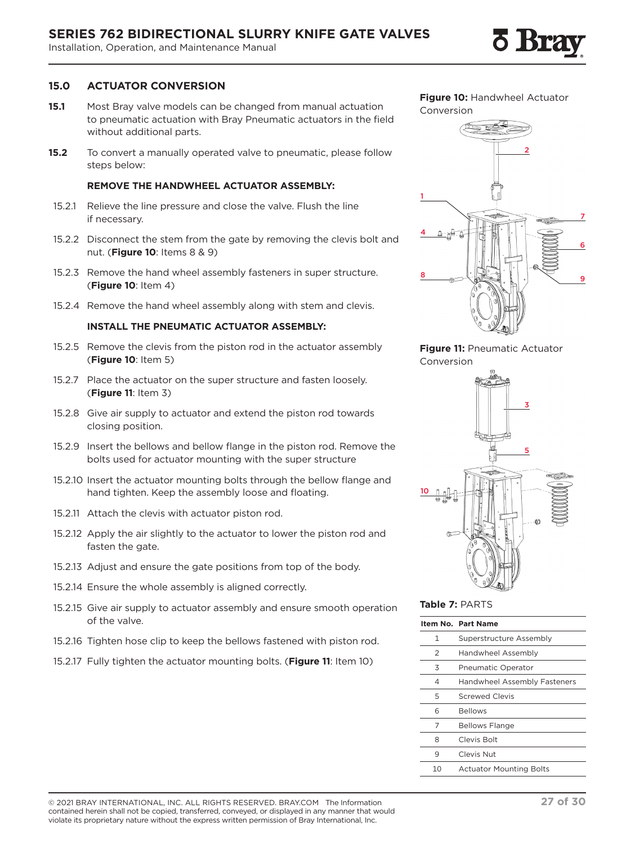### **15.0 ACTUATOR CONVERSION**

- **15.1** Most Bray valve models can be changed from manual actuation to pneumatic actuation with Bray Pneumatic actuators in the field without additional parts.
- **15.2** To convert a manually operated valve to pneumatic, please follow steps below:

#### **REMOVE THE HANDWHEEL ACTUATOR ASSEMBLY:**

- 15.2.1 Relieve the line pressure and close the valve. Flush the line if necessary.
- 15.2.2 Disconnect the stem from the gate by removing the clevis bolt and nut. (**Figure 10**: Items 8 & 9)
- 15.2.3 Remove the hand wheel assembly fasteners in super structure. (**Figure 10**: Item 4)
- 15.2.4 Remove the hand wheel assembly along with stem and clevis.

### **INSTALL THE PNEUMATIC ACTUATOR ASSEMBLY:**

- 15.2.5 Remove the clevis from the piston rod in the actuator assembly (**Figure 10**: Item 5)
- 15.2.7 Place the actuator on the super structure and fasten loosely. (**Figure 11**: Item 3)
- 15.2.8 Give air supply to actuator and extend the piston rod towards closing position.
- 15.2.9 Insert the bellows and bellow flange in the piston rod. Remove the bolts used for actuator mounting with the super structure
- 15.2.10 Insert the actuator mounting bolts through the bellow flange and hand tighten. Keep the assembly loose and floating.
- 15.2.11 Attach the clevis with actuator piston rod.
- 15.2.12 Apply the air slightly to the actuator to lower the piston rod and fasten the gate.
- 15.2.13 Adjust and ensure the gate positions from top of the body.
- 15.2.14 Ensure the whole assembly is aligned correctly.
- 15.2.15 Give air supply to actuator assembly and ensure smooth operation of the valve.
- 15.2.16 Tighten hose clip to keep the bellows fastened with piston rod.
- 15.2.17 Fully tighten the actuator mounting bolts. (**Figure 11**: Item 10)

**Figure 10:** Handwheel Actuator Conversion



### **Figure 11:** Pneumatic Actuator Conversion



### **Table 7:** PARTS

|    | Item No. Part Name             |
|----|--------------------------------|
| 1  | Superstructure Assembly        |
| 2  | Handwheel Assembly             |
| 3  | <b>Pneumatic Operator</b>      |
| 4  | Handwheel Assembly Fasteners   |
| 5  | <b>Screwed Clevis</b>          |
| 6  | <b>Bellows</b>                 |
| 7  | <b>Bellows Flange</b>          |
| 8  | Clevis Bolt                    |
| 9  | Clevis Nut                     |
| 10 | <b>Actuator Mounting Bolts</b> |

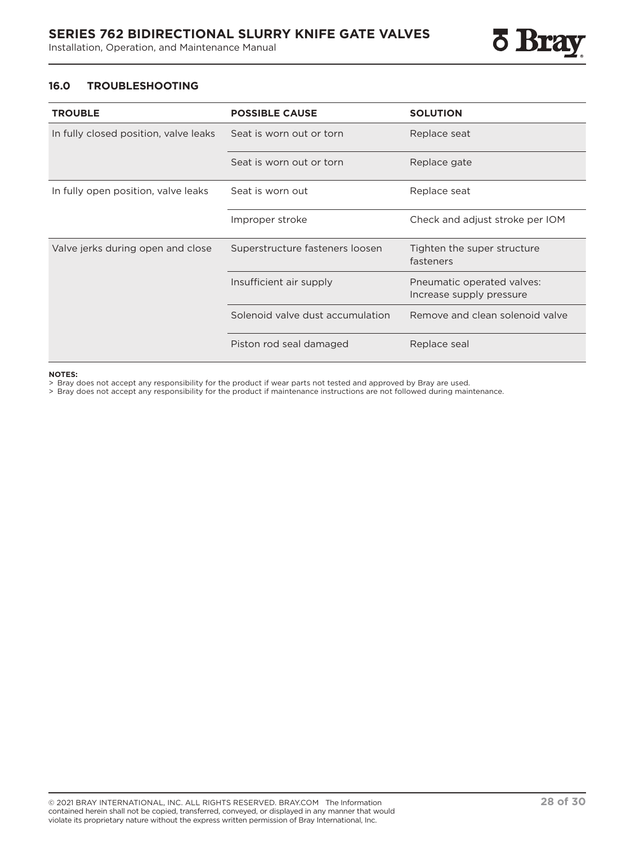

### **16.0 TROUBLESHOOTING**

| <b>TROUBLE</b>                        | <b>POSSIBLE CAUSE</b>            | <b>SOLUTION</b>                                        |
|---------------------------------------|----------------------------------|--------------------------------------------------------|
| In fully closed position, valve leaks | Seat is worn out or torn         | Replace seat                                           |
|                                       | Seat is worn out or torn         | Replace gate                                           |
| In fully open position, valve leaks   | Seat is worn out                 | Replace seat                                           |
|                                       | Improper stroke                  | Check and adjust stroke per IOM                        |
| Valve jerks during open and close     | Superstructure fasteners loosen  | Tighten the super structure<br>fasteners               |
|                                       | Insufficient air supply          | Pneumatic operated valves:<br>Increase supply pressure |
|                                       | Solenoid valve dust accumulation | Remove and clean solenoid valve                        |
|                                       | Piston rod seal damaged          | Replace seal                                           |

#### **NOTES:**

> Bray does not accept any responsibility for the product if wear parts not tested and approved by Bray are used.

> Bray does not accept any responsibility for the product if maintenance instructions are not followed during maintenance.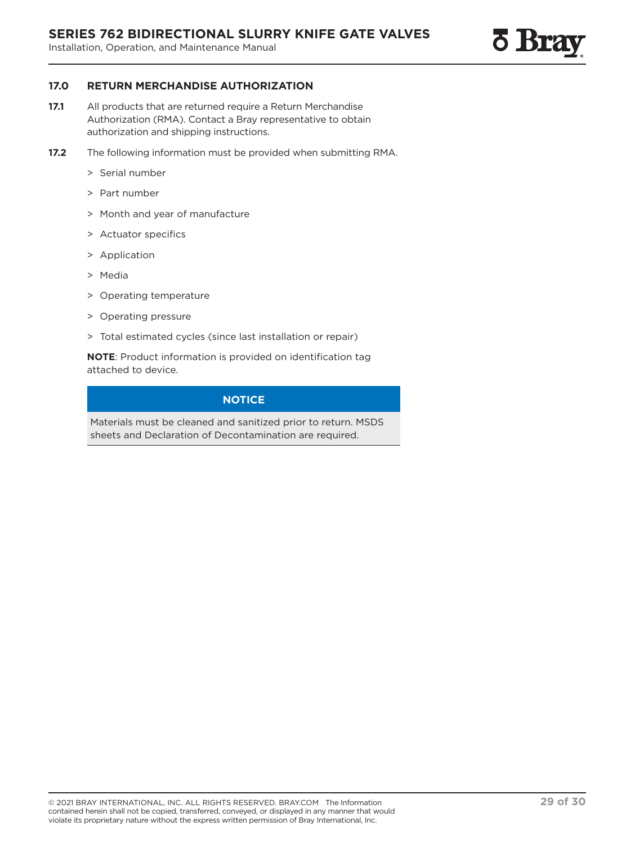

### **17.0 RETURN MERCHANDISE AUTHORIZATION**

- **17.1** All products that are returned require a Return Merchandise Authorization (RMA). Contact a Bray representative to obtain authorization and shipping instructions.
- **17.2** The following information must be provided when submitting RMA.
	- > Serial number
	- > Part number
	- > Month and year of manufacture
	- > Actuator specifics
	- > Application
	- > Media
	- > Operating temperature
	- > Operating pressure
	- > Total estimated cycles (since last installation or repair)

**NOTE**: Product information is provided on identification tag attached to device.

### **NOTICE**

Materials must be cleaned and sanitized prior to return. MSDS sheets and Declaration of Decontamination are required.